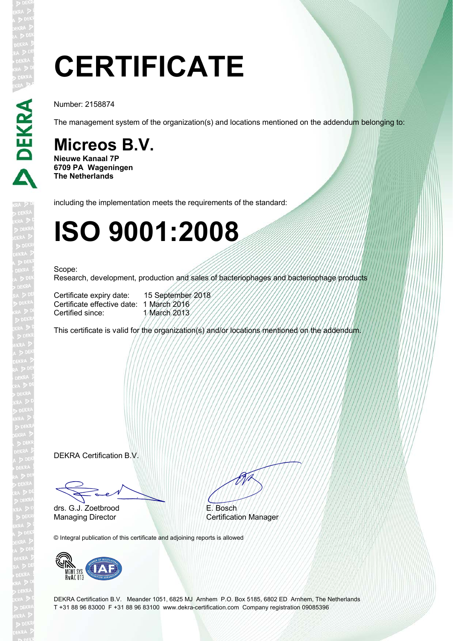# **CERTIFICATE**

Number: 2158874

The management system of the organization(s) and locations mentioned on the addendum belonging to:

### **Micreos B.V.**

**Nieuwe Kanaal 7P 6709 PA Wageningen The Netherlands**

including the implementation meets the requirements of the standard:

### **ISO 9001:2008**

#### Scope:

Research, development, production and sales of bacteriophages and bacteriophage products

Certificate expiry date: 15 September 2018 Certificate effective date: 1 March 2016<br>Certified since: 1 March 2013 Certified since:

This certificate is valid for the organization(s) and/or locations mentioned on the addendum.

DEKRA Certification B.V.

Fact

drs. G.J. Zoetbrood

#

E. Bosch Managing Director Certification Manager

© Integral publication of this certificate and adjoining reports is allowed



DEKRA Certification B.V. Meander 1051, 6825 MJ Arnhem P.O. Box 5185, 6802 ED Arnhem, The Netherlands T +31 88 96 83000 F +31 88 96 83100 www.dekra-certification.com Company registration 09085396